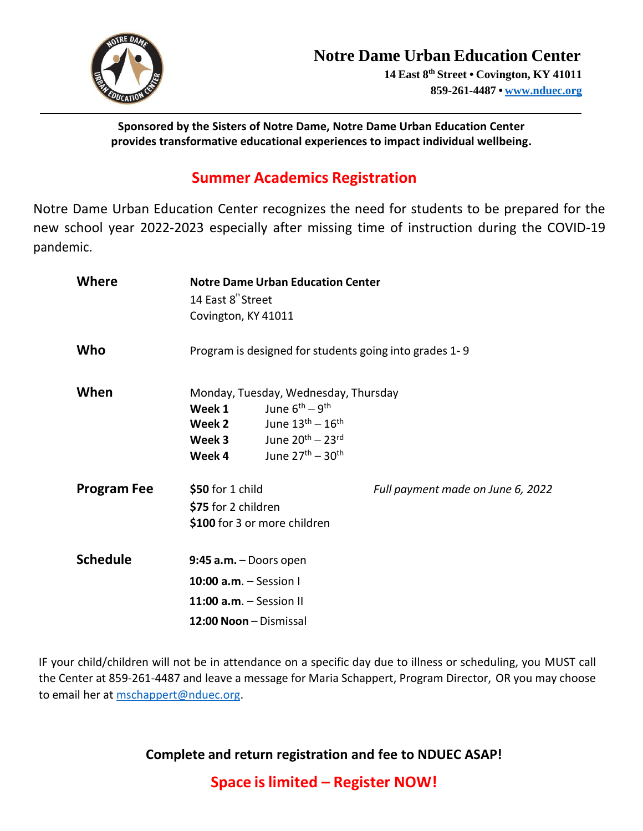

**Sponsored by the Sisters of Notre Dame, Notre Dame Urban Education Center provides transformative educational experiences to impact individual wellbeing.**

## **Summer Academics Registration**

Notre Dame Urban Education Center recognizes the need for students to be prepared for the new school year 2022-2023 especially after missing time of instruction during the COVID-19 pandemic.

| Where              | <b>Notre Dame Urban Education Center</b><br>14 East 8 <sup>th</sup> Street |                                                                                                                                  |                                   |
|--------------------|----------------------------------------------------------------------------|----------------------------------------------------------------------------------------------------------------------------------|-----------------------------------|
|                    | Covington, KY 41011                                                        |                                                                                                                                  |                                   |
| Who                |                                                                            | Program is designed for students going into grades 1-9                                                                           |                                   |
| When               | Week 1<br>Week 2<br>Week 3                                                 | Monday, Tuesday, Wednesday, Thursday<br>June 6 <sup>th</sup> - 9 <sup>th</sup><br>June $13th - 16th$<br>June $20^{th} - 23^{rd}$ |                                   |
|                    | Week 4                                                                     | June $27th - 30th$                                                                                                               |                                   |
| <b>Program Fee</b> | \$50 for 1 child<br>\$75 for 2 children                                    | \$100 for 3 or more children                                                                                                     | Full payment made on June 6, 2022 |
| <b>Schedule</b>    |                                                                            | $9:45$ a.m. - Doors open                                                                                                         |                                   |
|                    | 10:00 $a.m. -$ Session I                                                   |                                                                                                                                  |                                   |
|                    | 11:00 $a.m. -$ Session II                                                  |                                                                                                                                  |                                   |
|                    |                                                                            | 12:00 Noon - Dismissal                                                                                                           |                                   |

IF your child/children will not be in attendance on a specific day due to illness or scheduling, you MUST call the Center at 859-261-4487 and leave a message for Maria Schappert, Program Director, OR you may choose to email her at [mschappert@nduec.org.](mailto:mschappert@nduec.org)

**Complete and return registration and fee to NDUEC ASAP!**

**Space islimited – Register NOW!**